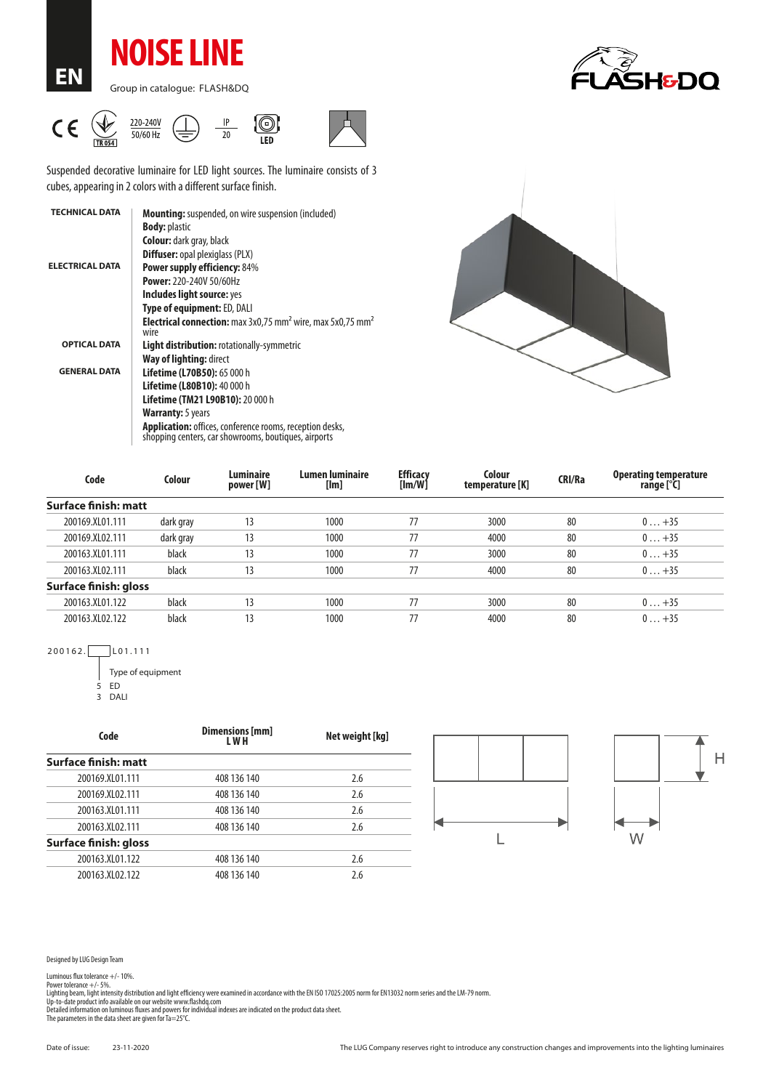**NOISE LINE**

**EN**

Group in catalogue: FLASH&DQ





Suspended decorative luminaire for LED light sources. The luminaire consists of 3 cubes, appearing in 2 colors with a different surface finish.

| <b>TECHNICAL DATA</b>  | <b>Mounting:</b> suspended, on wire suspension (included)                                                               |  |  |  |  |
|------------------------|-------------------------------------------------------------------------------------------------------------------------|--|--|--|--|
|                        | <b>Body: plastic</b>                                                                                                    |  |  |  |  |
|                        | <b>Colour:</b> dark gray, black                                                                                         |  |  |  |  |
|                        | <b>Diffuser:</b> opal plexiglass (PLX)                                                                                  |  |  |  |  |
| <b>ELECTRICAL DATA</b> | <b>Power supply efficiency: 84%</b>                                                                                     |  |  |  |  |
|                        | <b>Power: 220-240V 50/60Hz</b>                                                                                          |  |  |  |  |
|                        | Includes light source: yes                                                                                              |  |  |  |  |
|                        | <b>Type of equipment: ED, DALI</b>                                                                                      |  |  |  |  |
|                        | <b>Electrical connection:</b> max $3x0.75$ mm <sup>2</sup> wire, max $5x0.75$ mm <sup>2</sup><br>wire                   |  |  |  |  |
| <b>OPTICAL DATA</b>    | <b>Light distribution: rotationally-symmetric</b>                                                                       |  |  |  |  |
|                        | Way of lighting: direct                                                                                                 |  |  |  |  |
| <b>GENERAL DATA</b>    | <b>Lifetime (L70B50): 65 000 h</b>                                                                                      |  |  |  |  |
|                        | <b>Lifetime (L80B10): 40 000 h</b>                                                                                      |  |  |  |  |
|                        | Lifetime (TM21 L90B10): 20 000 h                                                                                        |  |  |  |  |
|                        | <b>Warranty:</b> 5 years                                                                                                |  |  |  |  |
|                        | <b>Application:</b> offices, conference rooms, reception desks,<br>shopping centers, car showrooms, boutiques, airports |  |  |  |  |



| Code                         | Colour    | <b>Luminaire</b><br>power [W] | Lumen luminaire<br>[lm] | <b>Efficacy</b><br>[Im/W] | Colour<br>temperature [K] | <b>CRI/Ra</b> | <b>Operating temperature</b><br>range [°C] |
|------------------------------|-----------|-------------------------------|-------------------------|---------------------------|---------------------------|---------------|--------------------------------------------|
| <b>Surface finish: matt</b>  |           |                               |                         |                           |                           |               |                                            |
| 200169.XL01.111              | dark gray | 13                            | 1000                    | 77                        | 3000                      | 80            | $0+35$                                     |
| 200169.XL02.111              | dark gray | 13                            | 1000                    | 77                        | 4000                      | 80            | $0+35$                                     |
| 200163.XL01.111              | black     | 13                            | 1000                    | 77                        | 3000                      | 80            | $0+35$                                     |
| 200163.XL02.111              | black     | 13                            | 1000                    | 77                        | 4000                      | 80            | $0+35$                                     |
| <b>Surface finish: gloss</b> |           |                               |                         |                           |                           |               |                                            |
| 200163.XL01.122              | black     | 13                            | 1000                    | 77                        | 3000                      | 80            | $0+35$                                     |
| 200163.XL02.122              | black     | 13                            | 1000                    | 77                        | 4000                      | 80            | $0+35$                                     |

200162. L01.111

Type of equipment 5 ED

<sup>3</sup> DALI

| Code                  | Dimensions [mm]<br>L W H | Net weight [kg] |  |  |
|-----------------------|--------------------------|-----------------|--|--|
| Surface finish: matt  |                          |                 |  |  |
| 200169.XL01.111       | 408 136 140              | 2.6             |  |  |
| 200169.XL02.111       | 408 136 140              | 2.6             |  |  |
| 200163.XL01.111       | 408 136 140              | 2.6             |  |  |
| 200163.XL02.111       | 408 136 140              | 2.6             |  |  |
| Surface finish: gloss |                          |                 |  |  |
| 200163.XL01.122       | 408 136 140              | 2.6             |  |  |
| 200163.XL02.122       | 408 136 140              | 2.6             |  |  |



Designed by LUG Design Team

Luminous flux tolerance +/- 10%.<br>Power tolerance +/- 5%.<br>Lighting beam, light intensity distribution and light efficiency were examined in accordance with the EN ISO 17025:2005 norm for EN13032 norm series and the LM-79 no